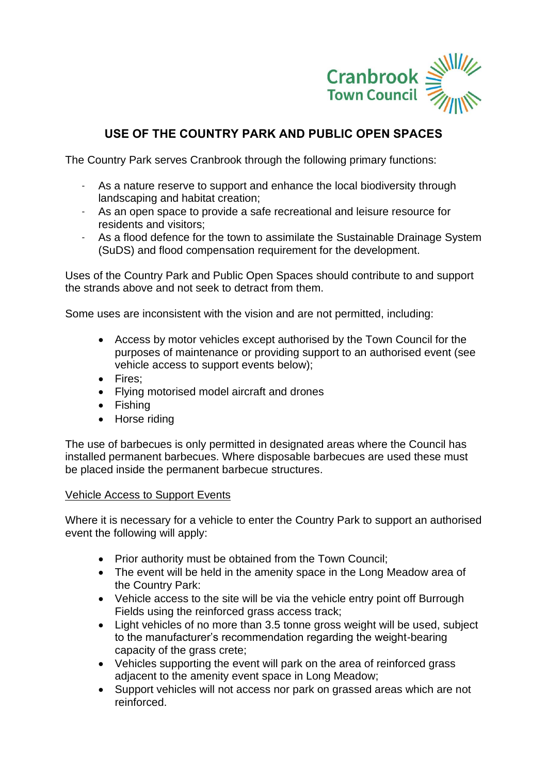

# **USE OF THE COUNTRY PARK AND PUBLIC OPEN SPACES**

The Country Park serves Cranbrook through the following primary functions:

- As a nature reserve to support and enhance the local biodiversity through landscaping and habitat creation;
- As an open space to provide a safe recreational and leisure resource for residents and visitors;
- As a flood defence for the town to assimilate the Sustainable Drainage System (SuDS) and flood compensation requirement for the development.

Uses of the Country Park and Public Open Spaces should contribute to and support the strands above and not seek to detract from them.

Some uses are inconsistent with the vision and are not permitted, including:

- Access by motor vehicles except authorised by the Town Council for the purposes of maintenance or providing support to an authorised event (see vehicle access to support events below);
- Fires;
- Flying motorised model aircraft and drones
- Fishing
- Horse riding

The use of barbecues is only permitted in designated areas where the Council has installed permanent barbecues. Where disposable barbecues are used these must be placed inside the permanent barbecue structures.

#### Vehicle Access to Support Events

Where it is necessary for a vehicle to enter the Country Park to support an authorised event the following will apply:

- Prior authority must be obtained from the Town Council;
- The event will be held in the amenity space in the Long Meadow area of the Country Park:
- Vehicle access to the site will be via the vehicle entry point off Burrough Fields using the reinforced grass access track;
- Light vehicles of no more than 3.5 tonne gross weight will be used, subject to the manufacturer's recommendation regarding the weight-bearing capacity of the grass crete;
- Vehicles supporting the event will park on the area of reinforced grass adjacent to the amenity event space in Long Meadow;
- Support vehicles will not access nor park on grassed areas which are not reinforced.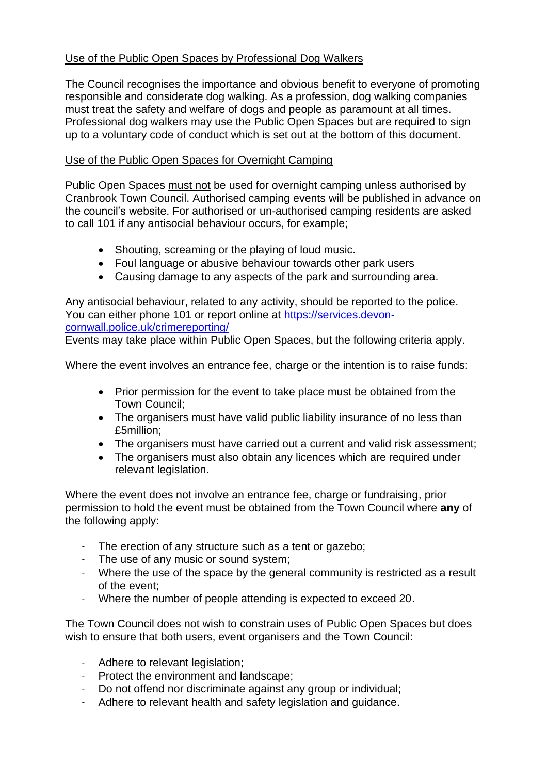### Use of the Public Open Spaces by Professional Dog Walkers

The Council recognises the importance and obvious benefit to everyone of promoting responsible and considerate dog walking. As a profession, dog walking companies must treat the safety and welfare of dogs and people as paramount at all times. Professional dog walkers may use the Public Open Spaces but are required to sign up to a voluntary code of conduct which is set out at the bottom of this document.

### Use of the Public Open Spaces for Overnight Camping

Public Open Spaces must not be used for overnight camping unless authorised by Cranbrook Town Council. Authorised camping events will be published in advance on the council's website. For authorised or un-authorised camping residents are asked to call 101 if any antisocial behaviour occurs, for example;

- Shouting, screaming or the playing of loud music.
- Foul language or abusive behaviour towards other park users
- Causing damage to any aspects of the park and surrounding area.

Any antisocial behaviour, related to any activity, should be reported to the police. You can either phone 101 or report online at [https://services.devon](https://services.devon-cornwall.police.uk/crimereporting/)[cornwall.police.uk/crimereporting/](https://services.devon-cornwall.police.uk/crimereporting/) 

Events may take place within Public Open Spaces, but the following criteria apply.

Where the event involves an entrance fee, charge or the intention is to raise funds:

- Prior permission for the event to take place must be obtained from the Town Council;
- The organisers must have valid public liability insurance of no less than £5million;
- The organisers must have carried out a current and valid risk assessment;
- The organisers must also obtain any licences which are required under relevant legislation.

Where the event does not involve an entrance fee, charge or fundraising, prior permission to hold the event must be obtained from the Town Council where **any** of the following apply:

- The erection of any structure such as a tent or gazebo;
- The use of any music or sound system;
- Where the use of the space by the general community is restricted as a result of the event;
- Where the number of people attending is expected to exceed 20.

The Town Council does not wish to constrain uses of Public Open Spaces but does wish to ensure that both users, event organisers and the Town Council:

- Adhere to relevant legislation;
- Protect the environment and landscape;
- Do not offend nor discriminate against any group or individual;
- Adhere to relevant health and safety legislation and guidance.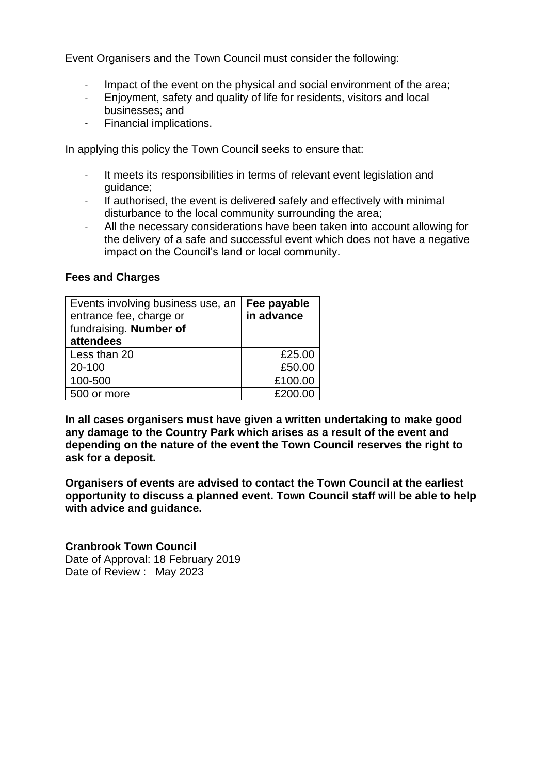Event Organisers and the Town Council must consider the following:

- Impact of the event on the physical and social environment of the area;
- Enjoyment, safety and quality of life for residents, visitors and local businesses; and
- Financial implications.

In applying this policy the Town Council seeks to ensure that:

- It meets its responsibilities in terms of relevant event legislation and guidance;
- If authorised, the event is delivered safely and effectively with minimal disturbance to the local community surrounding the area;
- All the necessary considerations have been taken into account allowing for the delivery of a safe and successful event which does not have a negative impact on the Council's land or local community.

#### **Fees and Charges**

| Events involving business use, an | Fee payable |
|-----------------------------------|-------------|
| entrance fee, charge or           | in advance  |
| fundraising. Number of            |             |
| attendees                         |             |
| Less than 20                      | £25.00      |
| 20-100                            | £50.00      |
| 100-500                           | £100.00     |
| 500 or more                       | £200.00     |

**In all cases organisers must have given a written undertaking to make good any damage to the Country Park which arises as a result of the event and depending on the nature of the event the Town Council reserves the right to ask for a deposit.** 

**Organisers of events are advised to contact the Town Council at the earliest opportunity to discuss a planned event. Town Council staff will be able to help with advice and guidance.**

**Cranbrook Town Council**  Date of Approval: 18 February 2019 Date of Review : May 2023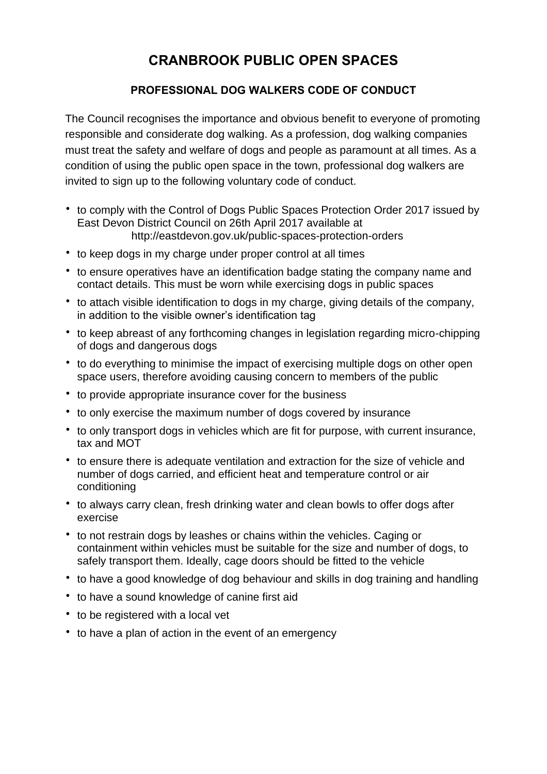# **CRANBROOK PUBLIC OPEN SPACES**

## **PROFESSIONAL DOG WALKERS CODE OF CONDUCT**

The Council recognises the importance and obvious benefit to everyone of promoting responsible and considerate dog walking. As a profession, dog walking companies must treat the safety and welfare of dogs and people as paramount at all times. As a condition of using the public open space in the town, professional dog walkers are invited to sign up to the following voluntary code of conduct.

- to comply with the Control of Dogs Public Spaces Protection Order 2017 issued by East Devon District Council on 26th April 2017 available at http://eastdevon.gov.uk/public-spaces-protection-orders
- to keep dogs in my charge under proper control at all times
- to ensure operatives have an identification badge stating the company name and contact details. This must be worn while exercising dogs in public spaces
- to attach visible identification to dogs in my charge, giving details of the company, in addition to the visible owner's identification tag
- to keep abreast of any forthcoming changes in legislation regarding micro-chipping of dogs and dangerous dogs
- to do everything to minimise the impact of exercising multiple dogs on other open space users, therefore avoiding causing concern to members of the public
- to provide appropriate insurance cover for the business
- to only exercise the maximum number of dogs covered by insurance
- to only transport dogs in vehicles which are fit for purpose, with current insurance, tax and MOT
- to ensure there is adequate ventilation and extraction for the size of vehicle and number of dogs carried, and efficient heat and temperature control or air conditioning
- to always carry clean, fresh drinking water and clean bowls to offer dogs after exercise
- to not restrain dogs by leashes or chains within the vehicles. Caging or containment within vehicles must be suitable for the size and number of dogs, to safely transport them. Ideally, cage doors should be fitted to the vehicle
- to have a good knowledge of dog behaviour and skills in dog training and handling
- to have a sound knowledge of canine first aid
- to be registered with a local vet
- to have a plan of action in the event of an emergency